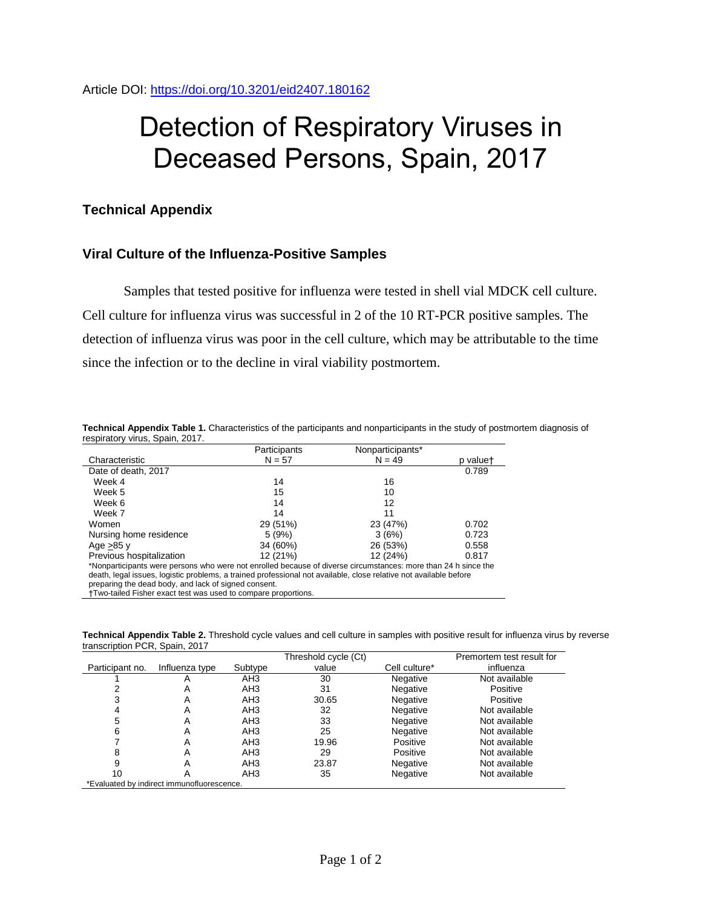## Detection of Respiratory Viruses in Deceased Persons, Spain, 2017

## **Technical Appendix**

## **Viral Culture of the Influenza-Positive Samples**

Samples that tested positive for influenza were tested in shell vial MDCK cell culture. Cell culture for influenza virus was successful in 2 of the 10 RT-PCR positive samples. The detection of influenza virus was poor in the cell culture, which may be attributable to the time since the infection or to the decline in viral viability postmortem.

| Technical Appendix Table 1. Characteristics of the participants and nonparticipants in the study of postmortem diagnosis of |  |
|-----------------------------------------------------------------------------------------------------------------------------|--|
| respiratory virus, Spain, 2017.                                                                                             |  |

|                                                                                                                   | Participants | Nonparticipants* |          |  |  |  |  |
|-------------------------------------------------------------------------------------------------------------------|--------------|------------------|----------|--|--|--|--|
| Characteristic                                                                                                    | $N = 57$     | $N = 49$         | p valuet |  |  |  |  |
| Date of death, 2017                                                                                               |              |                  | 0.789    |  |  |  |  |
| Week 4                                                                                                            | 14           | 16               |          |  |  |  |  |
| Week 5                                                                                                            | 15           | 10               |          |  |  |  |  |
| Week 6                                                                                                            | 14           | 12               |          |  |  |  |  |
| Week 7                                                                                                            | 14           | 11               |          |  |  |  |  |
| Women                                                                                                             | 29 (51%)     | 23 (47%)         | 0.702    |  |  |  |  |
| Nursing home residence                                                                                            | 5(9%)        | 3(6%)            | 0.723    |  |  |  |  |
| Age $>85$ y                                                                                                       | 34 (60%)     | 26 (53%)         | 0.558    |  |  |  |  |
| Previous hospitalization                                                                                          | 12 (21%)     | 12 (24%)         | 0.817    |  |  |  |  |
| *Nonparticipants were persons who were not enrolled because of diverse circumstances: more than 24 h since the    |              |                  |          |  |  |  |  |
| death, legal issues, logistic problems, a trained professional not available, close relative not available before |              |                  |          |  |  |  |  |
| preparing the dead body, and lack of signed consent.                                                              |              |                  |          |  |  |  |  |
| †Two-tailed Fisher exact test was used to compare proportions.                                                    |              |                  |          |  |  |  |  |

**Technical Appendix Table 2.** Threshold cycle values and cell culture in samples with positive result for influenza virus by reverse transcription PCR, Spain, 2017

|                                            |                |                 | Threshold cycle (Ct) |               | Premortem test result for |  |  |
|--------------------------------------------|----------------|-----------------|----------------------|---------------|---------------------------|--|--|
| Participant no.                            | Influenza type | Subtype         | value                | Cell culture* | influenza                 |  |  |
|                                            | $\mathsf{A}$   | AH <sub>3</sub> | 30                   | Negative      | Not available             |  |  |
|                                            | A              | AH <sub>3</sub> | 31                   | Negative      | Positive                  |  |  |
| 3                                          | A              | AH <sub>3</sub> | 30.65                | Negative      | Positive                  |  |  |
|                                            | A              | AH <sub>3</sub> | 32                   | Negative      | Not available             |  |  |
| 5                                          | A              | AH <sub>3</sub> | 33                   | Negative      | Not available             |  |  |
| 6                                          | Α              | AH3             | 25                   | Negative      | Not available             |  |  |
|                                            | Α              | AH3             | 19.96                | Positive      | Not available             |  |  |
| 8                                          | A              | AH <sub>3</sub> | 29                   | Positive      | Not available             |  |  |
| 9                                          | Α              | AH3             | 23.87                | Negative      | Not available             |  |  |
| 10                                         |                | AH3             | 35                   | Negative      | Not available             |  |  |
| *Evaluated by indirect immunofluorescence. |                |                 |                      |               |                           |  |  |